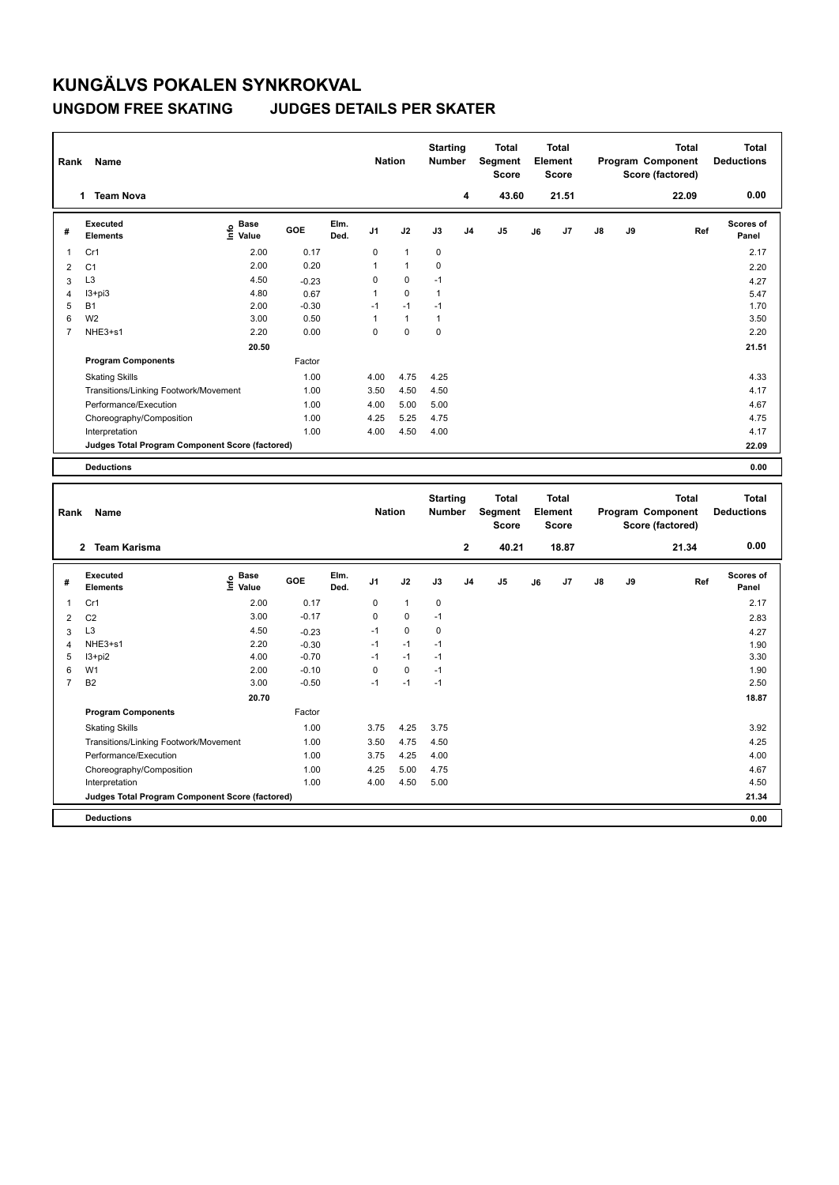## **KUNGÄLVS POKALEN SYNKROKVAL UNGDOM FREE SKATING JUDGES DETAILS PER SKATER**

| Rank                    | Name                                                           |                                  |              |              | <b>Nation</b>  |                     | <b>Starting</b><br>Number |                 | <b>Total</b><br>Segment<br><b>Score</b> |    | <b>Total</b><br>Element<br><b>Score</b> |    |    | <b>Total</b><br>Program Component<br>Score (factored) | <b>Total</b><br><b>Deductions</b> |
|-------------------------|----------------------------------------------------------------|----------------------------------|--------------|--------------|----------------|---------------------|---------------------------|-----------------|-----------------------------------------|----|-----------------------------------------|----|----|-------------------------------------------------------|-----------------------------------|
|                         | 1 Team Nova                                                    |                                  |              |              |                |                     |                           | 4               | 43.60                                   |    | 21.51                                   |    |    | 22.09                                                 | 0.00                              |
| #                       | <b>Executed</b><br>Elements                                    | <b>Base</b><br>e Base<br>⊆ Value | GOE          | Elm.<br>Ded. | J <sub>1</sub> | J2                  | J3                        | J <sub>4</sub>  | J5                                      | J6 | J7                                      | J8 | J9 | Ref                                                   | Scores of<br>Panel                |
| 1                       | Cr1                                                            | 2.00                             | 0.17         |              | 0              | $\mathbf{1}$        | $\mathbf 0$               |                 |                                         |    |                                         |    |    |                                                       | 2.17                              |
| $\overline{2}$          | C <sub>1</sub>                                                 | 2.00                             | 0.20         |              | 1              | $\mathbf{1}$        | 0                         |                 |                                         |    |                                         |    |    |                                                       | 2.20                              |
| 3                       | L <sub>3</sub>                                                 | 4.50                             | $-0.23$      |              | 0              | 0                   | $-1$                      |                 |                                         |    |                                         |    |    |                                                       | 4.27                              |
| $\overline{4}$          | $13 + pi3$                                                     | 4.80                             | 0.67         |              | 1              | 0                   | $\mathbf{1}$              |                 |                                         |    |                                         |    |    |                                                       | 5.47                              |
| 5                       | <b>B1</b>                                                      | 2.00                             | $-0.30$      |              | $-1$           | $-1$                | $-1$                      |                 |                                         |    |                                         |    |    |                                                       | 1.70                              |
| 6                       | W <sub>2</sub>                                                 | 3.00                             | 0.50         |              | 1              | $\mathbf{1}$        | $\mathbf{1}$              |                 |                                         |    |                                         |    |    |                                                       | 3.50                              |
| $\overline{7}$          | NHE3+s1                                                        | 2.20                             | 0.00         |              | 0              | 0                   | $\pmb{0}$                 |                 |                                         |    |                                         |    |    |                                                       | 2.20                              |
|                         |                                                                | 20.50                            |              |              |                |                     |                           |                 |                                         |    |                                         |    |    |                                                       | 21.51                             |
|                         | <b>Program Components</b>                                      |                                  | Factor       |              |                |                     |                           |                 |                                         |    |                                         |    |    |                                                       |                                   |
|                         | <b>Skating Skills</b>                                          |                                  | 1.00         |              | 4.00           | 4.75                | 4.25                      |                 |                                         |    |                                         |    |    |                                                       | 4.33                              |
|                         | Transitions/Linking Footwork/Movement                          |                                  | 1.00         |              | 3.50           | 4.50                | 4.50                      |                 |                                         |    |                                         |    |    |                                                       | 4.17                              |
|                         | Performance/Execution                                          |                                  | 1.00         |              | 4.00           | 5.00                | 5.00                      |                 |                                         |    |                                         |    |    |                                                       | 4.67                              |
|                         | Choreography/Composition                                       |                                  | 1.00         |              | 4.25           | 5.25                | 4.75                      |                 |                                         |    |                                         |    |    |                                                       | 4.75                              |
|                         | Interpretation                                                 |                                  | 1.00         |              | 4.00           | 4.50                | 4.00                      |                 |                                         |    |                                         |    |    |                                                       | 4.17                              |
|                         | Judges Total Program Component Score (factored)                |                                  |              |              |                |                     |                           |                 |                                         |    |                                         |    |    |                                                       | 22.09                             |
|                         |                                                                |                                  |              |              |                |                     |                           |                 |                                         |    |                                         |    |    |                                                       |                                   |
|                         | <b>Deductions</b>                                              |                                  |              |              |                |                     |                           |                 |                                         |    |                                         |    |    |                                                       | 0.00                              |
|                         |                                                                |                                  |              |              |                |                     |                           |                 |                                         |    |                                         |    |    |                                                       |                                   |
|                         |                                                                |                                  |              |              |                |                     |                           | <b>Starting</b> | Total                                   |    | <b>Total</b>                            |    |    | <b>Total</b>                                          | <b>Total</b>                      |
| Rank                    | Name                                                           |                                  |              |              | <b>Nation</b>  |                     | Number                    |                 | Segment                                 |    | Element                                 |    |    | Program Component                                     | <b>Deductions</b>                 |
|                         |                                                                |                                  |              |              |                |                     |                           |                 | <b>Score</b>                            |    | <b>Score</b>                            |    |    | Score (factored)                                      |                                   |
|                         | 2 Team Karisma                                                 |                                  |              |              |                |                     |                           |                 |                                         |    |                                         |    |    |                                                       |                                   |
|                         |                                                                |                                  |              |              |                |                     |                           | $\mathbf 2$     | 40.21                                   |    | 18.87                                   |    |    | 21.34                                                 | 0.00                              |
| #                       | <b>Executed</b><br><b>Elements</b>                             | <b>Base</b><br>e Base<br>E Value | GOE          | Elm.<br>Ded. | J <sub>1</sub> | J2                  | J3                        | J <sub>4</sub>  | J5                                      | J6 | J7                                      | J8 | J9 | Ref                                                   | Scores of<br>Panel                |
|                         |                                                                |                                  |              |              |                | $\mathbf{1}$        |                           |                 |                                         |    |                                         |    |    |                                                       |                                   |
| $\mathbf{1}$            | Cr1                                                            | 2.00                             | 0.17         |              | 0              |                     | $\mathbf 0$               |                 |                                         |    |                                         |    |    |                                                       | 2.17                              |
| $\overline{\mathbf{c}}$ | C <sub>2</sub>                                                 | 3.00                             | $-0.17$      |              | 0              | $\mathbf 0$         | $-1$                      |                 |                                         |    |                                         |    |    |                                                       | 2.83                              |
| 3                       | L <sub>3</sub>                                                 | 4.50                             | $-0.23$      |              | $-1$           | 0                   | $\mathbf 0$               |                 |                                         |    |                                         |    |    |                                                       | 4.27                              |
| $\overline{4}$          | NHE3+s1                                                        | 2.20                             | $-0.30$      |              | $-1$<br>$-1$   | $-1$                | $-1$                      |                 |                                         |    |                                         |    |    |                                                       | 1.90                              |
| 5                       | $13 + pi2$                                                     | 4.00                             | $-0.70$      |              |                | $-1$                | $-1$                      |                 |                                         |    |                                         |    |    |                                                       | 3.30                              |
| 6<br>$\overline{7}$     | W <sub>1</sub>                                                 | 2.00                             | $-0.10$      |              | 0<br>$-1$      | $\mathbf 0$<br>$-1$ | $-1$                      |                 |                                         |    |                                         |    |    |                                                       | 1.90                              |
|                         | B <sub>2</sub>                                                 | 3.00                             | $-0.50$      |              |                |                     | $-1$                      |                 |                                         |    |                                         |    |    |                                                       | 2.50                              |
|                         |                                                                | 20.70                            |              |              |                |                     |                           |                 |                                         |    |                                         |    |    |                                                       | 18.87                             |
|                         | <b>Program Components</b>                                      |                                  | Factor       |              |                |                     |                           |                 |                                         |    |                                         |    |    |                                                       |                                   |
|                         | <b>Skating Skills</b><br>Transitions/Linking Footwork/Movement |                                  | 1.00<br>1.00 |              | 3.75<br>3.50   | 4.25<br>4.75        | 3.75<br>4.50              |                 |                                         |    |                                         |    |    |                                                       | 3.92<br>4.25                      |

Performance/Execution 1.00 3.75 4.25 4.00 Choreography/Composition 1.00 4.25 5.00 4.75 4.67 1.25 5.00 4.75<br>4.00 4.50 5.00 **Judges Total Program Component Score (factored) 21.34**

**Deductions 0.00**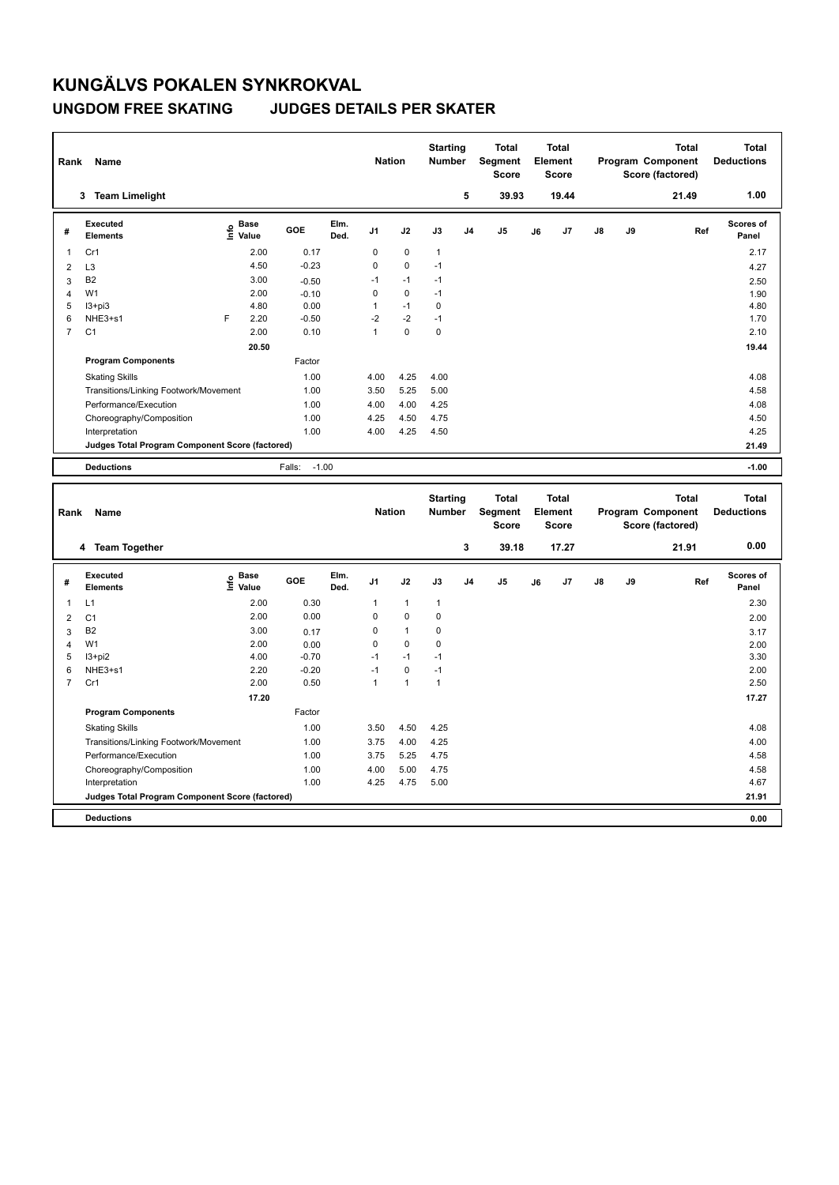## **KUNGÄLVS POKALEN SYNKROKVAL UNGDOM FREE SKATING JUDGES DETAILS PER SKATER**

**Program Components** 

| Rank           | Name                                            |                              |                   |              | <b>Nation</b>  |              | <b>Starting</b><br><b>Number</b> |                | <b>Total</b><br>Segment<br><b>Score</b> |    | Total<br>Element<br><b>Score</b>        |               |    | <b>Total</b><br>Program Component<br>Score (factored) | <b>Total</b><br><b>Deductions</b> |
|----------------|-------------------------------------------------|------------------------------|-------------------|--------------|----------------|--------------|----------------------------------|----------------|-----------------------------------------|----|-----------------------------------------|---------------|----|-------------------------------------------------------|-----------------------------------|
|                | 3 Team Limelight                                |                              |                   |              |                |              |                                  | 5              | 39.93                                   |    | 19.44                                   |               |    | 21.49                                                 | 1.00                              |
| #              | <b>Executed</b><br><b>Elements</b>              | <b>Base</b><br>۴ů<br>Value   | GOE               | Elm.<br>Ded. | J <sub>1</sub> | J2           | J3                               | J <sub>4</sub> | J <sub>5</sub>                          | J6 | J7                                      | $\mathsf{J}8$ | J9 | Ref                                                   | Scores of<br>Panel                |
| 1              | Cr1                                             | 2.00                         | 0.17              |              | 0              | $\mathbf 0$  | $\mathbf{1}$                     |                |                                         |    |                                         |               |    |                                                       | 2.17                              |
| 2              | L <sub>3</sub>                                  | 4.50                         | $-0.23$           |              | 0              | $\Omega$     | $-1$                             |                |                                         |    |                                         |               |    |                                                       | 4.27                              |
| 3              | <b>B2</b>                                       | 3.00                         | $-0.50$           |              | $-1$           | $-1$         | $-1$                             |                |                                         |    |                                         |               |    |                                                       | 2.50                              |
| 4              | W <sub>1</sub>                                  | 2.00                         | $-0.10$           |              | 0              | $\Omega$     | $-1$                             |                |                                         |    |                                         |               |    |                                                       | 1.90                              |
| 5              | $13 + pi3$                                      | 4.80                         | 0.00              |              | $\mathbf{1}$   | $-1$         | $\mathbf 0$                      |                |                                         |    |                                         |               |    |                                                       | 4.80                              |
| 6              | NHE3+s1                                         | F<br>2.20                    | $-0.50$           |              | $-2$           | $-2$         | $-1$                             |                |                                         |    |                                         |               |    |                                                       | 1.70                              |
| $\overline{7}$ | C <sub>1</sub>                                  | 2.00                         | 0.10              |              | $\mathbf{1}$   | $\mathbf 0$  | $\mathbf 0$                      |                |                                         |    |                                         |               |    |                                                       | 2.10                              |
|                |                                                 | 20.50                        |                   |              |                |              |                                  |                |                                         |    |                                         |               |    |                                                       | 19.44                             |
|                | <b>Program Components</b>                       |                              | Factor            |              |                |              |                                  |                |                                         |    |                                         |               |    |                                                       |                                   |
|                | <b>Skating Skills</b>                           |                              | 1.00              |              | 4.00           | 4.25         | 4.00                             |                |                                         |    |                                         |               |    |                                                       | 4.08                              |
|                | Transitions/Linking Footwork/Movement           |                              | 1.00              |              | 3.50           | 5.25         | 5.00                             |                |                                         |    |                                         |               |    |                                                       | 4.58                              |
|                | Performance/Execution                           |                              | 1.00              |              | 4.00           | 4.00         | 4.25                             |                |                                         |    |                                         |               |    |                                                       | 4.08                              |
|                | Choreography/Composition                        |                              | 1.00              |              | 4.25           | 4.50         | 4.75                             |                |                                         |    |                                         |               |    |                                                       | 4.50                              |
|                | Interpretation                                  |                              | 1.00              |              | 4.00           | 4.25         | 4.50                             |                |                                         |    |                                         |               |    |                                                       | 4.25                              |
|                | Judges Total Program Component Score (factored) |                              |                   |              |                |              |                                  |                |                                         |    |                                         |               |    |                                                       | 21.49                             |
|                | <b>Deductions</b>                               |                              | $-1.00$<br>Falls: |              |                |              |                                  |                |                                         |    |                                         |               |    |                                                       | $-1.00$                           |
|                |                                                 |                              |                   |              |                |              |                                  |                |                                         |    |                                         |               |    |                                                       |                                   |
| Rank           | Name                                            |                              |                   |              | <b>Nation</b>  |              | <b>Starting</b><br><b>Number</b> |                | <b>Total</b><br>Segment<br><b>Score</b> |    | <b>Total</b><br>Element<br><b>Score</b> |               |    | <b>Total</b><br>Program Component<br>Score (factored) | <b>Total</b><br><b>Deductions</b> |
|                | 4 Team Together                                 |                              |                   |              |                |              |                                  | 3              | 39.18                                   |    | 17.27                                   |               |    | 21.91                                                 | 0.00                              |
| #              | Executed<br><b>Elements</b>                     | <b>Base</b><br>lnfo<br>Value | GOE               | Elm.<br>Ded. | J <sub>1</sub> | J2           | J3                               | J <sub>4</sub> | J <sub>5</sub>                          | J6 | J7                                      | J8            | J9 | Ref                                                   | Scores of<br>Panel                |
| 1              | L1                                              | 2.00                         | 0.30              |              | $\mathbf{1}$   | $\mathbf{1}$ | $\mathbf{1}$                     |                |                                         |    |                                         |               |    |                                                       | 2.30                              |
| 2              | C <sub>1</sub>                                  | 2.00                         | 0.00              |              | 0              | $\mathbf 0$  | $\mathbf 0$                      |                |                                         |    |                                         |               |    |                                                       | 2.00                              |
| 3              | B <sub>2</sub>                                  | 3.00                         | 0.17              |              | 0              | $\mathbf{1}$ | $\mathbf 0$                      |                |                                         |    |                                         |               |    |                                                       | 3.17                              |

4 W1 2.00 0.00 0 0 0 0 2.00 2.00 I3+pi2 4.00 -0.70 -1 -1 -1 3.30 NHE3+s1 2.20 -0.20 -1 0 -1 2.00 Cr1 2.00 0.50 1 1 1 2.50

Factor

Skating Skills 3.50 4.50 4.25 1.00 4.08

Transitions/Linking Footwork/Movement 1.00 3.75 4.00 4.25 4.00 4.25 4.00 4.25 4.00 4.25 Performance/Execution 1.00 3.75 5.25 4.75 3.25 4.75 Choreography/Composition 1.00 4.00 5.00 4.75 4.58 4.25 4.75 5.00

**Deductions 0.00 Judges Total Program Component Score (factored) 21.91**

 **17.20 17.27**